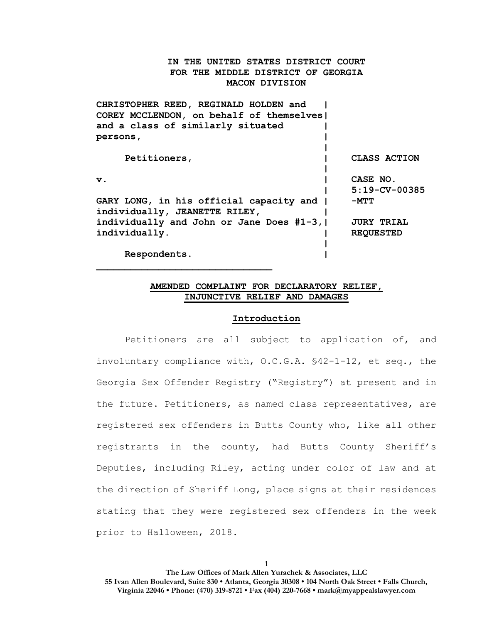# **IN THE UNITED STATES DISTRICT COURT FOR THE MIDDLE DISTRICT OF GEORGIA MACON DIVISION**

| CHRISTOPHER REED, REGINALD HOLDEN and       |                   |
|---------------------------------------------|-------------------|
| COREY MCCLENDON, on behalf of themselves    |                   |
| and a class of similarly situated           |                   |
| persons,                                    |                   |
|                                             |                   |
| Petitioners,                                | CLASS ACTION      |
|                                             |                   |
| $\mathbf v$ .                               | CASE NO.          |
|                                             | $5:19-CV-00385$   |
| GARY LONG, in his official capacity and     | -MTT              |
| individually, JEANETTE RILEY,               |                   |
| individually and John or Jane Does $#1-3$ , | <b>JURY TRIAL</b> |
| individually.                               | <b>REQUESTED</b>  |
|                                             |                   |
| Respondents.                                |                   |

# **AMENDED COMPLAINT FOR DECLARATORY RELIEF, INJUNCTIVE RELIEF AND DAMAGES**

#### **Introduction**

Petitioners are all subject to application of, and involuntary compliance with, O.C.G.A. §42-1-12, et seq., the Georgia Sex Offender Registry ("Registry") at present and in the future. Petitioners, as named class representatives, are registered sex offenders in Butts County who, like all other registrants in the county, had Butts County Sheriff's Deputies, including Riley, acting under color of law and at the direction of Sheriff Long, place signs at their residences stating that they were registered sex offenders in the week prior to Halloween, 2018.

**1**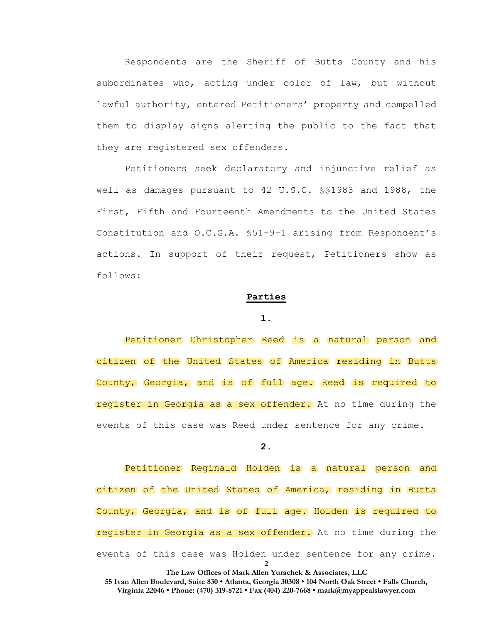Respondents are the Sheriff of Butts County and his subordinates who, acting under color of law, but without lawful authority, entered Petitioners' property and compelled them to display signs alerting the public to the fact that they are registered sex offenders.

Petitioners seek declaratory and injunctive relief as well as damages pursuant to 42 U.S.C. §§1983 and 1988, the First, Fifth and Fourteenth Amendments to the United States Constitution and O.C.G.A. §51-9-1 arising from Respondent's actions. In support of their request, Petitioners show as follows:

### **Parties**

#### **1.**

Petitioner Christopher Reed is a natural person and citizen of the United States of America residing in Butts County, Georgia, and is of full age. Reed is required to register in Georgia as a sex offender. At no time during the events of this case was Reed under sentence for any crime.

# **2.**

**2** Petitioner Reginald Holden is a natural person and citizen of the United States of America, residing in Butts County, Georgia, and is of full age. Holden is required to register in Georgia as a sex offender. At no time during the events of this case was Holden under sentence for any crime.

**The Law Offices of Mark Allen Yurachek & Associates, LLC**

**55 Ivan Allen Boulevard, Suite 830 • Atlanta, Georgia 30308 • 104 North Oak Street • Falls Church, Virginia 22046 • Phone: (470) 319-8721 • Fax (404) 220-7668 • mark@myappealslawyer.com**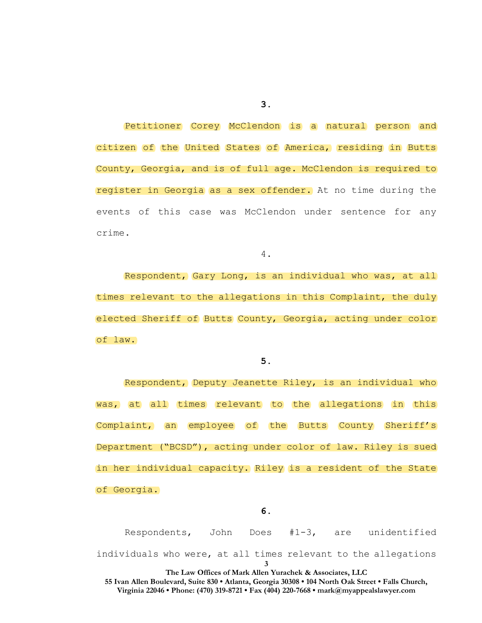Petitioner Corey McClendon is a natural person and citizen of the United States of America, residing in Butts County, Georgia, and is of full age. McClendon is required to register in Georgia as a sex offender. At no time during the events of this case was McClendon under sentence for any crime.

4.

Respondent, Gary Long, is an individual who was, at all times relevant to the allegations in this Complaint, the duly elected Sheriff of Butts County, Georgia, acting under color of law.

**5.**

Respondent, Deputy Jeanette Riley, is an individual who was, at all times relevant to the allegations in this Complaint, an employee of the Butts County Sheriff's Department ("BCSD"), acting under color of law. Riley is sued in her individual capacity. Riley is a resident of the State of Georgia.

**3 The Law Offices of Mark Allen Yurachek & Associates, LLC 55 Ivan Allen Boulevard, Suite 830 • Atlanta, Georgia 30308 • 104 North Oak Street • Falls Church, Virginia 22046 • Phone: (470) 319-8721 • Fax (404) 220-7668 • mark@myappealslawyer.com** Respondents, John Does #1-3, are unidentified individuals who were, at all times relevant to the allegations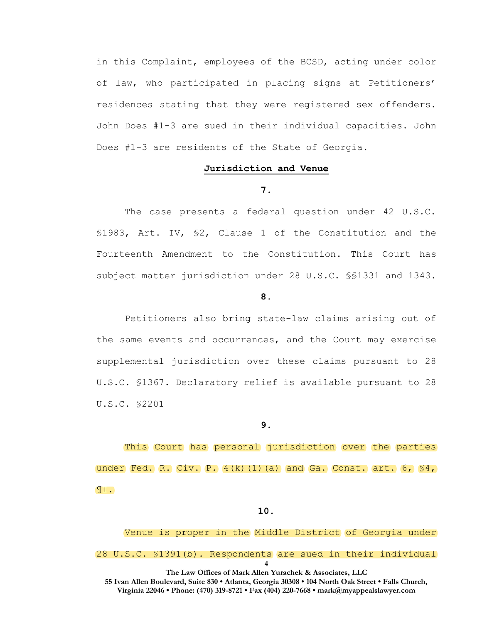in this Complaint, employees of the BCSD, acting under color of law, who participated in placing signs at Petitioners' residences stating that they were registered sex offenders. John Does #1-3 are sued in their individual capacities. John Does #1-3 are residents of the State of Georgia.

## **Jurisdiction and Venue**

**7.**

The case presents a federal question under 42 U.S.C. §1983, Art. IV, §2, Clause 1 of the Constitution and the Fourteenth Amendment to the Constitution. This Court has subject matter jurisdiction under 28 U.S.C. §§1331 and 1343.

#### **8.**

Petitioners also bring state-law claims arising out of the same events and occurrences, and the Court may exercise supplemental jurisdiction over these claims pursuant to 28 U.S.C. §1367. Declaratory relief is available pursuant to 28 U.S.C. §2201

**9.**

This Court has personal jurisdiction over the parties under Fed. R. Civ. P.  $4(k)(1)(a)$  and Ga. Const. art.  $6, 84,$ ¶I.

**10.**

**4 The Law Offices of Mark Allen Yurachek & Associates, LLC** Venue is proper in the Middle District of Georgia under 28 U.S.C. §1391(b). Respondents are sued in their individual

**55 Ivan Allen Boulevard, Suite 830 • Atlanta, Georgia 30308 • 104 North Oak Street • Falls Church, Virginia 22046 • Phone: (470) 319-8721 • Fax (404) 220-7668 • mark@myappealslawyer.com**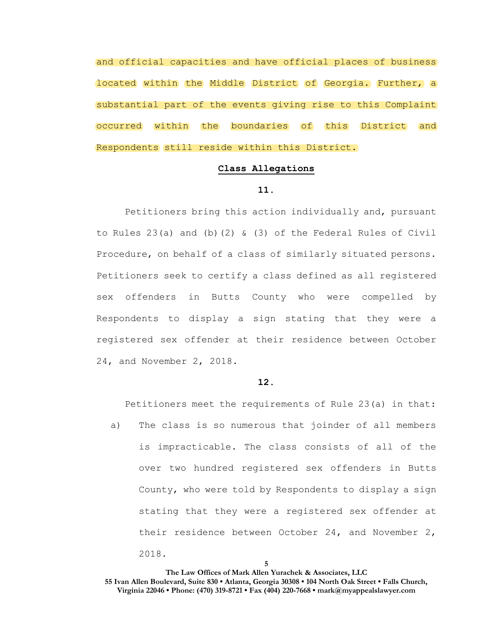and official capacities and have official places of business located within the Middle District of Georgia. Further, a substantial part of the events giving rise to this Complaint occurred within the boundaries of this District and Respondents still reside within this District.

## **Class Allegations**

# **11.**

Petitioners bring this action individually and, pursuant to Rules  $23(a)$  and (b)(2) & (3) of the Federal Rules of Civil Procedure, on behalf of a class of similarly situated persons. Petitioners seek to certify a class defined as all registered sex offenders in Butts County who were compelled by Respondents to display a sign stating that they were a registered sex offender at their residence between October 24, and November 2, 2018.

#### **12.**

Petitioners meet the requirements of Rule 23(a) in that:

a) The class is so numerous that joinder of all members is impracticable. The class consists of all of the over two hundred registered sex offenders in Butts County, who were told by Respondents to display a sign stating that they were a registered sex offender at their residence between October 24, and November 2, 2018.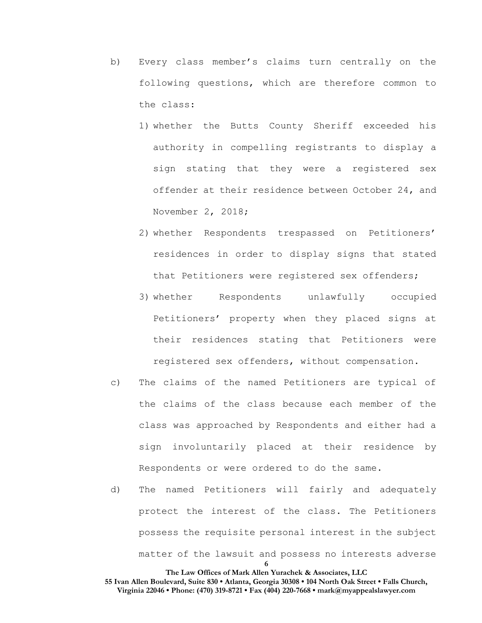- b) Every class member's claims turn centrally on the following questions, which are therefore common to the class:
	- 1) whether the Butts County Sheriff exceeded his authority in compelling registrants to display a sign stating that they were a registered sex offender at their residence between October 24, and November 2, 2018;
	- 2) whether Respondents trespassed on Petitioners' residences in order to display signs that stated that Petitioners were registered sex offenders;
	- 3) whether Respondents unlawfully occupied Petitioners' property when they placed signs at their residences stating that Petitioners were registered sex offenders, without compensation.
- c) The claims of the named Petitioners are typical of the claims of the class because each member of the class was approached by Respondents and either had a sign involuntarily placed at their residence by Respondents or were ordered to do the same.
- d) The named Petitioners will fairly and adequately protect the interest of the class. The Petitioners possess the requisite personal interest in the subject matter of the lawsuit and possess no interests adverse

**The Law Offices of Mark Allen Yurachek & Associates, LLC 55 Ivan Allen Boulevard, Suite 830 • Atlanta, Georgia 30308 • 104 North Oak Street • Falls Church, Virginia 22046 • Phone: (470) 319-8721 • Fax (404) 220-7668 • mark@myappealslawyer.com**

**6**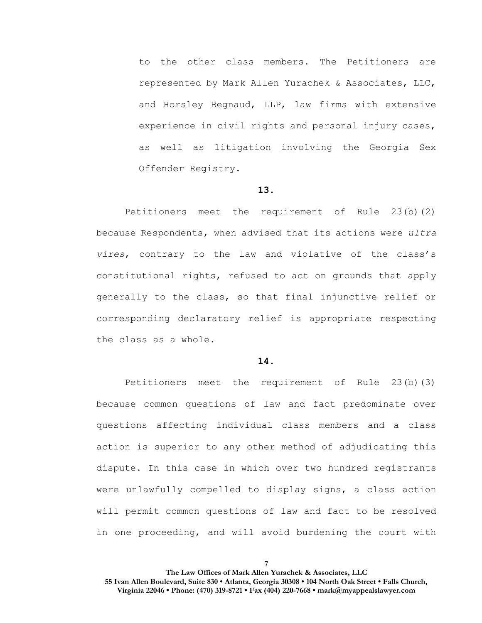to the other class members. The Petitioners are represented by Mark Allen Yurachek & Associates, LLC, and Horsley Begnaud, LLP, law firms with extensive experience in civil rights and personal injury cases, as well as litigation involving the Georgia Sex Offender Registry.

## **13.**

Petitioners meet the requirement of Rule 23(b)(2) because Respondents, when advised that its actions were *ultra vires*, contrary to the law and violative of the class's constitutional rights, refused to act on grounds that apply generally to the class, so that final injunctive relief or corresponding declaratory relief is appropriate respecting the class as a whole.

#### **14.**

Petitioners meet the requirement of Rule 23(b)(3) because common questions of law and fact predominate over questions affecting individual class members and a class action is superior to any other method of adjudicating this dispute. In this case in which over two hundred registrants were unlawfully compelled to display signs, a class action will permit common questions of law and fact to be resolved in one proceeding, and will avoid burdening the court with

**7**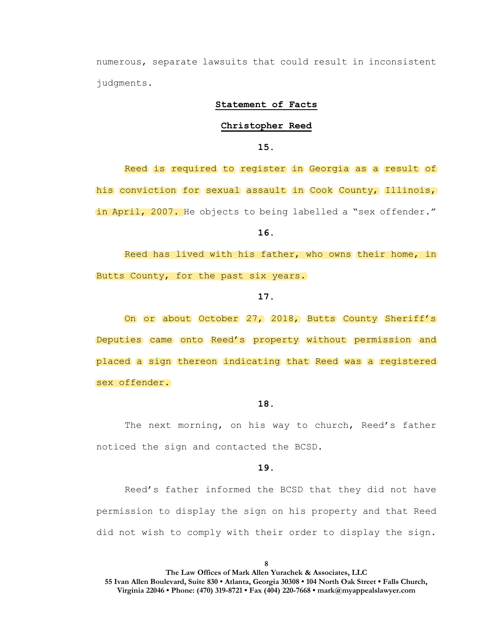numerous, separate lawsuits that could result in inconsistent judgments.

### **Statement of Facts**

#### **Christopher Reed**

**15.**

Reed is required to register in Georgia as a result of his conviction for sexual assault in Cook County, Illinois, in April, 2007. He objects to being labelled a "sex offender."

**16.**

Reed has lived with his father, who owns their home, in Butts County, for the past six years**.** 

#### **17.**

On or about October 27, 2018, Butts County Sheriff's Deputies came onto Reed's property without permission and placed a sign thereon indicating that Reed was a registered sex offender.

### **18.**

The next morning, on his way to church, Reed's father noticed the sign and contacted the BCSD.

#### **19.**

Reed's father informed the BCSD that they did not have permission to display the sign on his property and that Reed did not wish to comply with their order to display the sign.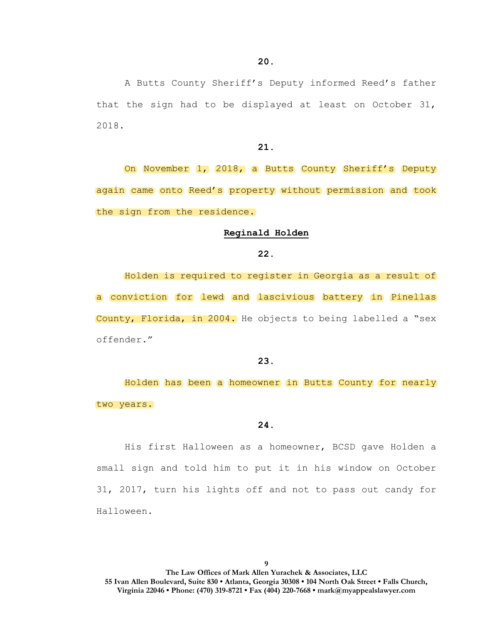A Butts County Sheriff's Deputy informed Reed's father that the sign had to be displayed at least on October 31, 2018.

### **21.**

On November 1, 2018, a Butts County Sheriff's Deputy again came onto Reed's property without permission and took the sign from the residence.

### **Reginald Holden**

### **22.**

Holden is required to register in Georgia as a result of a conviction for lewd and lascivious battery in Pinellas County, Florida, in 2004. He objects to being labelled a "sex offender."

### **23.**

Holden has been a homeowner in Butts County for nearly two years.

## **24.**

His first Halloween as a homeowner, BCSD gave Holden a small sign and told him to put it in his window on October 31, 2017, turn his lights off and not to pass out candy for Halloween.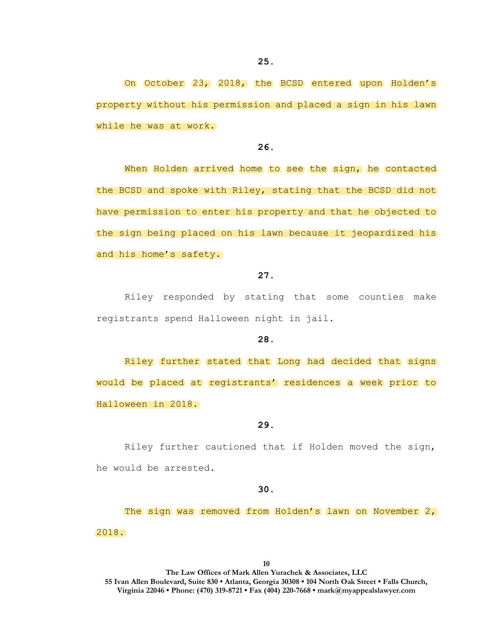On October 23, 2018, the BCSD entered upon Holden's property without his permission and placed a sign in his lawn while he was at work.

**26.**

When Holden arrived home to see the sign, he contacted the BCSD and spoke with Riley, stating that the BCSD did not have permission to enter his property and that he objected to the sign being placed on his lawn because it jeopardized his and his home's safety.

### **27.**

Riley responded by stating that some counties make registrants spend Halloween night in jail.

# **28.**

Riley further stated that Long had decided that signs would be placed at registrants' residences a week prior to Halloween in 2018.

**29.**

Riley further cautioned that if Holden moved the sign, he would be arrested.

**30.**

The sign was removed from Holden's lawn on November 2, 2018.

**10**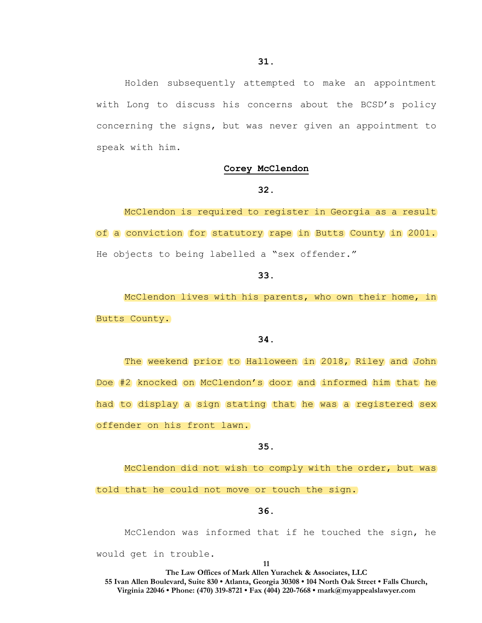Holden subsequently attempted to make an appointment with Long to discuss his concerns about the BCSD's policy concerning the signs, but was never given an appointment to speak with him.

#### **Corey McClendon**

## **32.**

McClendon is required to register in Georgia as a result of a conviction for statutory rape in Butts County in 2001. He objects to being labelled a "sex offender."

#### **33.**

McClendon lives with his parents, who own their home, in Butts County.

# **34.**

The weekend prior to Halloween in 2018, Riley and John Doe #2 knocked on McClendon's door and informed him that he had to display a sign stating that he was a registered sex offender on his front lawn.

### **35.**

McClendon did not wish to comply with the order, but was told that he could not move or touch the sign.

**36.**

McClendon was informed that if he touched the sign, he would get in trouble.

**11**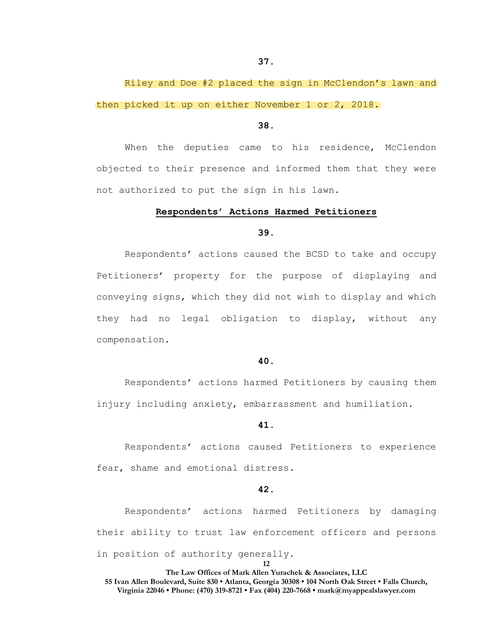Riley and Doe #2 placed the sign in McClendon's lawn and then picked it up on either November 1 or 2, 2018.

### **38.**

When the deputies came to his residence, McClendon objected to their presence and informed them that they were not authorized to put the sign in his lawn.

### **Respondents' Actions Harmed Petitioners**

### **39.**

Respondents' actions caused the BCSD to take and occupy Petitioners' property for the purpose of displaying and conveying signs, which they did not wish to display and which they had no legal obligation to display, without any compensation.

### **40.**

Respondents' actions harmed Petitioners by causing them injury including anxiety, embarrassment and humiliation.

#### **41.**

Respondents' actions caused Petitioners to experience fear, shame and emotional distress.

# **42.**

Respondents' actions harmed Petitioners by damaging their ability to trust law enforcement officers and persons in position of authority generally.

#### **12**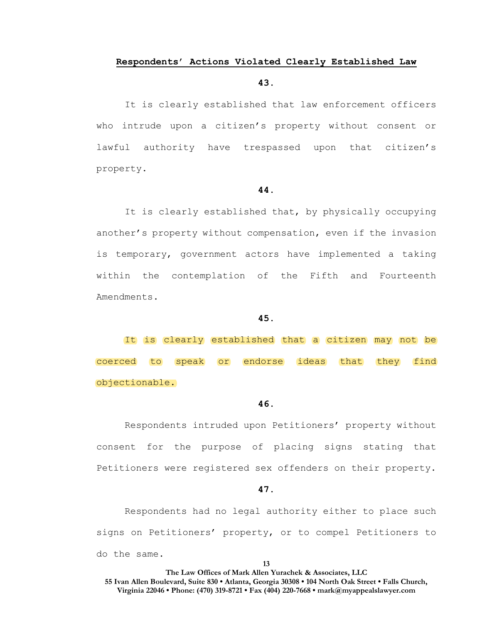# **Respondents' Actions Violated Clearly Established Law**

## **43.**

It is clearly established that law enforcement officers who intrude upon a citizen's property without consent or lawful authority have trespassed upon that citizen's property.

### **44.**

It is clearly established that, by physically occupying another's property without compensation, even if the invasion is temporary, government actors have implemented a taking within the contemplation of the Fifth and Fourteenth Amendments.

### **45.**

It is clearly established that a citizen may not be coerced to speak or endorse ideas that they find objectionable.

## **46.**

Respondents intruded upon Petitioners' property without consent for the purpose of placing signs stating that Petitioners were registered sex offenders on their property.

# **47.**

Respondents had no legal authority either to place such signs on Petitioners' property, or to compel Petitioners to do the same.

**13**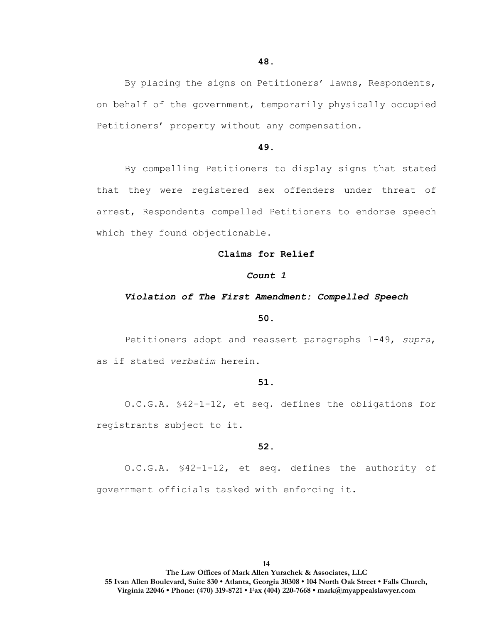By placing the signs on Petitioners' lawns, Respondents, on behalf of the government, temporarily physically occupied Petitioners' property without any compensation.

## **49.**

By compelling Petitioners to display signs that stated that they were registered sex offenders under threat of arrest, Respondents compelled Petitioners to endorse speech which they found objectionable.

#### **Claims for Relief**

### *Count 1*

#### *Violation of The First Amendment: Compelled Speech*

#### **50.**

Petitioners adopt and reassert paragraphs 1-49, *supra*, as if stated *verbatim* herein.

### **51.**

O.C.G.A. §42-1-12, et seq. defines the obligations for registrants subject to it.

### **52.**

O.C.G.A. §42-1-12, et seq. defines the authority of government officials tasked with enforcing it.

**14**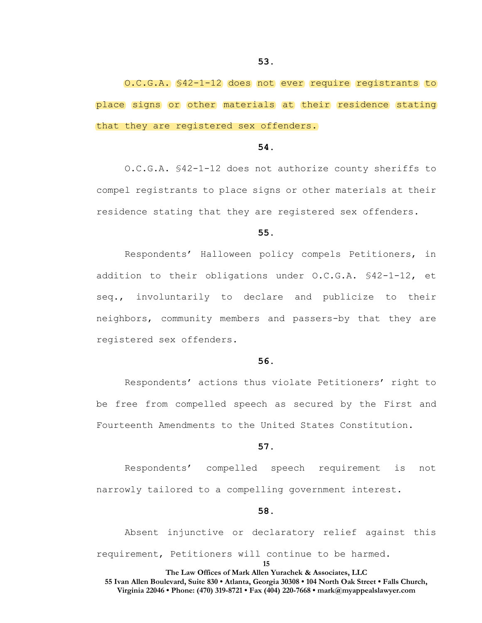O.C.G.A. §42-1-12 does not ever require registrants to place signs or other materials at their residence stating that they are registered sex offenders.

### **54.**

O.C.G.A. §42-1-12 does not authorize county sheriffs to compel registrants to place signs or other materials at their residence stating that they are registered sex offenders.

#### **55.**

Respondents' Halloween policy compels Petitioners, in addition to their obligations under O.C.G.A. §42-1-12, et seq., involuntarily to declare and publicize to their neighbors, community members and passers-by that they are registered sex offenders.

### **56.**

Respondents' actions thus violate Petitioners' right to be free from compelled speech as secured by the First and Fourteenth Amendments to the United States Constitution.

### **57.**

Respondents' compelled speech requirement is not narrowly tailored to a compelling government interest.

#### **58.**

Absent injunctive or declaratory relief against this requirement, Petitioners will continue to be harmed.

**15**

#### **The Law Offices of Mark Allen Yurachek & Associates, LLC 55 Ivan Allen Boulevard, Suite 830 • Atlanta, Georgia 30308 • 104 North Oak Street • Falls Church,**

**Virginia 22046 • Phone: (470) 319-8721 • Fax (404) 220-7668 • mark@myappealslawyer.com**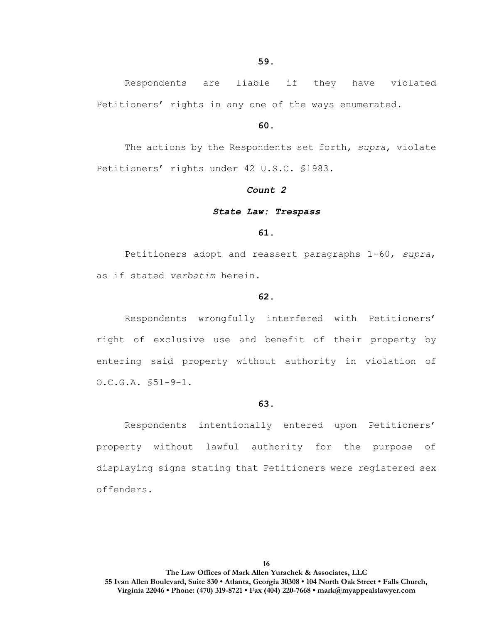Respondents are liable if they have violated Petitioners' rights in any one of the ways enumerated.

### **60.**

The actions by the Respondents set forth, *supra*, violate Petitioners' rights under 42 U.S.C. §1983.

### *Count 2*

#### *State Law: Trespass*

### **61.**

Petitioners adopt and reassert paragraphs 1-60, *supra*, as if stated *verbatim* herein.

### **62.**

Respondents wrongfully interfered with Petitioners' right of exclusive use and benefit of their property by entering said property without authority in violation of O.C.G.A. §51-9-1.

### **63.**

Respondents intentionally entered upon Petitioners' property without lawful authority for the purpose of displaying signs stating that Petitioners were registered sex offenders.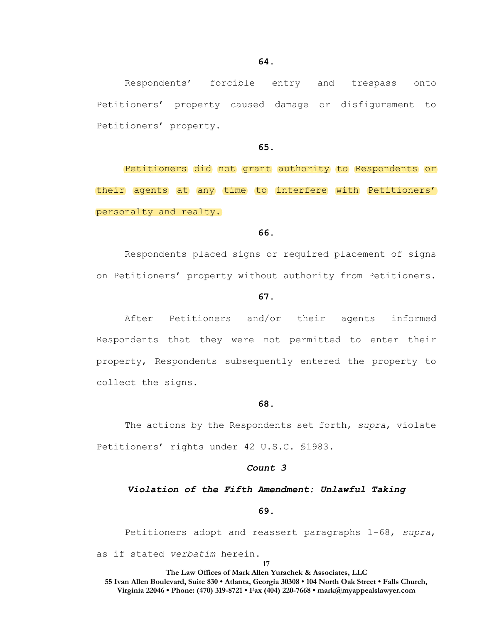Respondents' forcible entry and trespass onto Petitioners' property caused damage or disfigurement to Petitioners' property.

### **65.**

Petitioners did not grant authority to Respondents or their agents at any time to interfere with Petitioners' personalty and realty.

### **66.**

Respondents placed signs or required placement of signs on Petitioners' property without authority from Petitioners.

#### **67.**

After Petitioners and/or their agents informed Respondents that they were not permitted to enter their property, Respondents subsequently entered the property to collect the signs.

### **68.**

The actions by the Respondents set forth, *supra*, violate Petitioners' rights under 42 U.S.C. §1983.

# *Count 3*

#### *Violation of the Fifth Amendment: Unlawful Taking*

#### **69.**

Petitioners adopt and reassert paragraphs 1-68, *supra*, as if stated *verbatim* herein.

**17**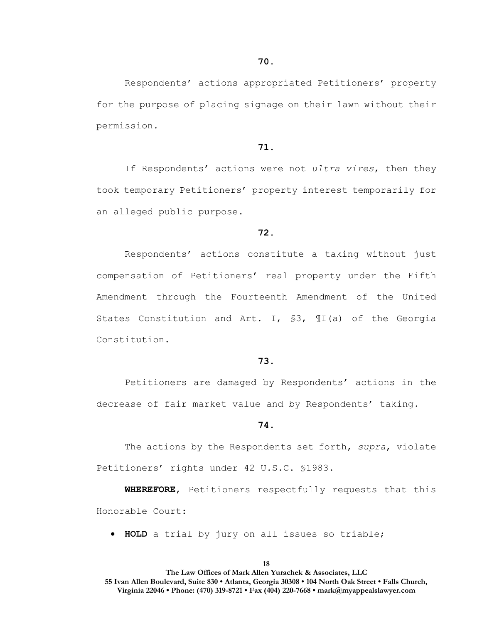Respondents' actions appropriated Petitioners' property for the purpose of placing signage on their lawn without their permission.

### **71.**

If Respondents' actions were not *ultra vires*, then they took temporary Petitioners' property interest temporarily for an alleged public purpose.

### **72.**

Respondents' actions constitute a taking without just compensation of Petitioners' real property under the Fifth Amendment through the Fourteenth Amendment of the United States Constitution and Art. I, §3, ¶I(a) of the Georgia Constitution.

### **73.**

Petitioners are damaged by Respondents' actions in the decrease of fair market value and by Respondents' taking.

#### **74.**

The actions by the Respondents set forth, *supra*, violate Petitioners' rights under 42 U.S.C. §1983.

**WHEREFORE**, Petitioners respectfully requests that this Honorable Court:

• **HOLD** a trial by jury on all issues so triable;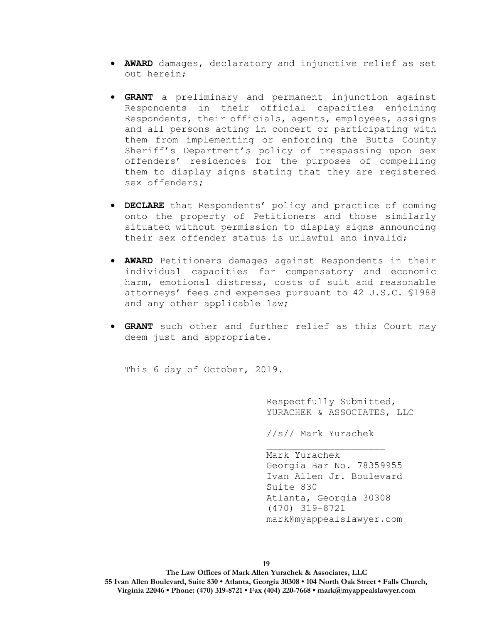- **AWARD** damages, declaratory and injunctive relief as set out herein;
- **GRANT** a preliminary and permanent injunction against Respondents in their official capacities enjoining Respondents, their officials, agents, employees, assigns and all persons acting in concert or participating with them from implementing or enforcing the Butts County Sheriff's Department's policy of trespassing upon sex offenders' residences for the purposes of compelling them to display signs stating that they are registered sex offenders;
- **DECLARE** that Respondents' policy and practice of coming onto the property of Petitioners and those similarly situated without permission to display signs announcing their sex offender status is unlawful and invalid;
- **AWARD** Petitioners damages against Respondents in their individual capacities for compensatory and economic harm, emotional distress, costs of suit and reasonable attorneys' fees and expenses pursuant to 42 U.S.C. §1988 and any other applicable law;
- **GRANT** such other and further relief as this Court may deem just and appropriate.

This 6 day of October, 2019.

Respectfully Submitted, YURACHEK & ASSOCIATES, LLC

//s// Mark Yurachek

Mark Yurachek Georgia Bar No. 78359955 Ivan Allen Jr. Boulevard Suite 830 Atlanta, Georgia 30308 (470) 319-8721 mark@myappealslawyer.com

**19**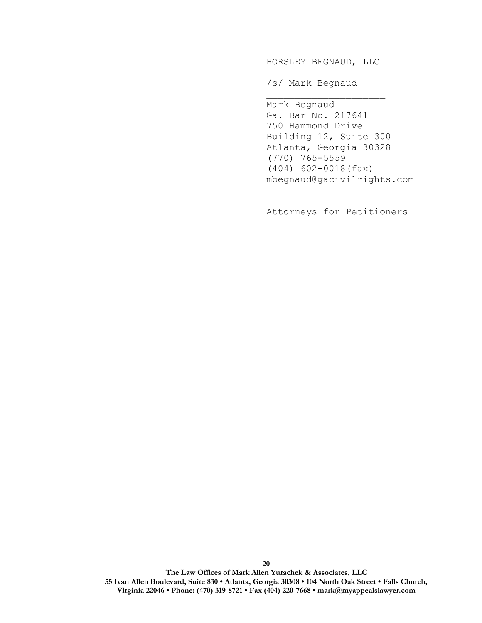HORSLEY BEGNAUD, LLC

/s/ Mark Begnaud

Mark Begnaud Ga. Bar No. 217641 750 Hammond Drive Building 12, Suite 300 Atlanta, Georgia 30328 (770) 765-5559 (404) 602-0018(fax) mbegnaud@gacivilrights.com

Attorneys for Petitioners